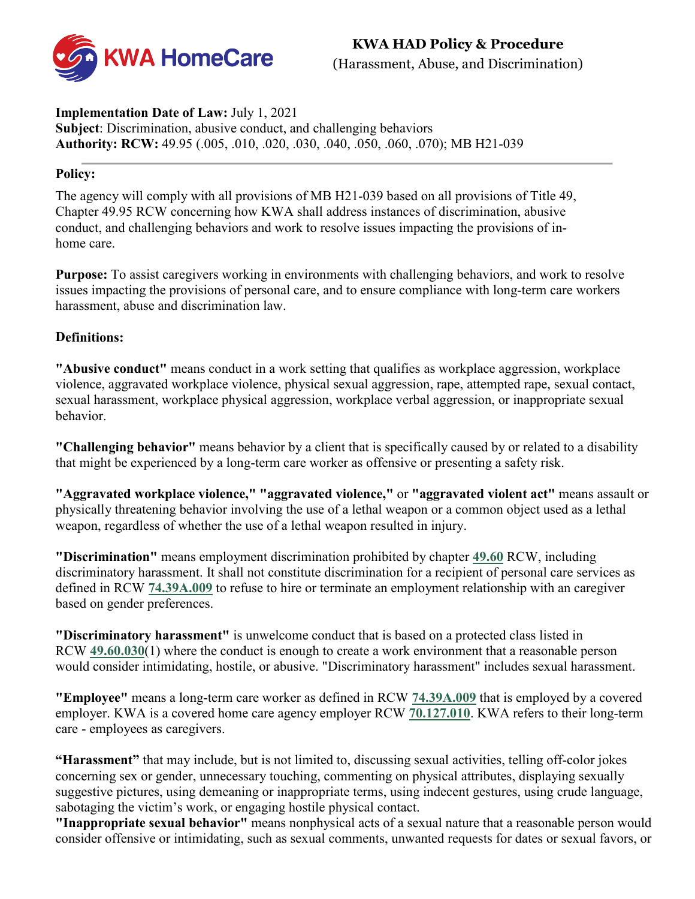**KWA HAD Policy & Procedure**  (Harassment, Abuse, and Discrimination)



#### **Implementation Date of Law:** July 1, 2021 **Subject**: Discrimination, abusive conduct, and challenging behaviors **Authority: RCW:** 49.95 (.005, .010, .020, .030, .040, .050, .060, .070); MB H21-039

#### **Policy:**

The agency will comply with all provisions of MB H21-039 based on all provisions of Title 49, Chapter 49.95 RCW concerning how KWA shall address instances of discrimination, abusive conduct, and challenging behaviors and work to resolve issues impacting the provisions of inhome care.

**Purpose:** To assist caregivers working in environments with challenging behaviors, and work to resolve issues impacting the provisions of personal care, and to ensure compliance with long-term care workers harassment, abuse and discrimination law.

#### **Definitions:**

**"Abusive conduct"** means conduct in a work setting that qualifies as workplace aggression, workplace violence, aggravated workplace violence, physical sexual aggression, rape, attempted rape, sexual contact, sexual harassment, workplace physical aggression, workplace verbal aggression, or inappropriate sexual behavior.

**"Challenging behavior"** means behavior by a client that is specifically caused by or related to a disability that might be experienced by a long-term care worker as offensive or presenting a safety risk.

**"Aggravated workplace violence," "aggravated violence,"** or **"aggravated violent act"** means assault or physically threatening behavior involving the use of a lethal weapon or a common object used as a lethal weapon, regardless of whether the use of a lethal weapon resulted in injury.

**"Discrimination"** means employment discrimination prohibited by chapter **[49.60](http://app.leg.wa.gov/RCW/default.aspx?cite=49.60)** RCW, including discriminatory harassment. It shall not constitute discrimination for a recipient of personal care services as defined in RCW **[74.39A.009](http://app.leg.wa.gov/RCW/default.aspx?cite=74.39A.009)** to refuse to hire or terminate an employment relationship with an caregiver based on gender preferences.

**"Discriminatory harassment"** is unwelcome conduct that is based on a protected class listed in RCW **[49.60.030](http://app.leg.wa.gov/RCW/default.aspx?cite=49.60.030)**(1) where the conduct is enough to create a work environment that a reasonable person would consider intimidating, hostile, or abusive. "Discriminatory harassment" includes sexual harassment.

**"Employee"** means a long-term care worker as defined in RCW **[74.39A.009](http://app.leg.wa.gov/RCW/default.aspx?cite=74.39A.009)** that is employed by a covered employer. KWA is a covered home care agency employer RCW **[70.127.010](http://app.leg.wa.gov/RCW/default.aspx?cite=70.127.010)**. KWA refers to their long-term care - employees as caregivers.

**"Harassment"** that may include, but is not limited to, discussing sexual activities, telling off-color jokes concerning sex or gender, unnecessary touching, commenting on physical attributes, displaying sexually suggestive pictures, using demeaning or inappropriate terms, using indecent gestures, using crude language, sabotaging the victim's work, or engaging hostile physical contact.

**"Inappropriate sexual behavior"** means nonphysical acts of a sexual nature that a reasonable person would consider offensive or intimidating, such as sexual comments, unwanted requests for dates or sexual favors, or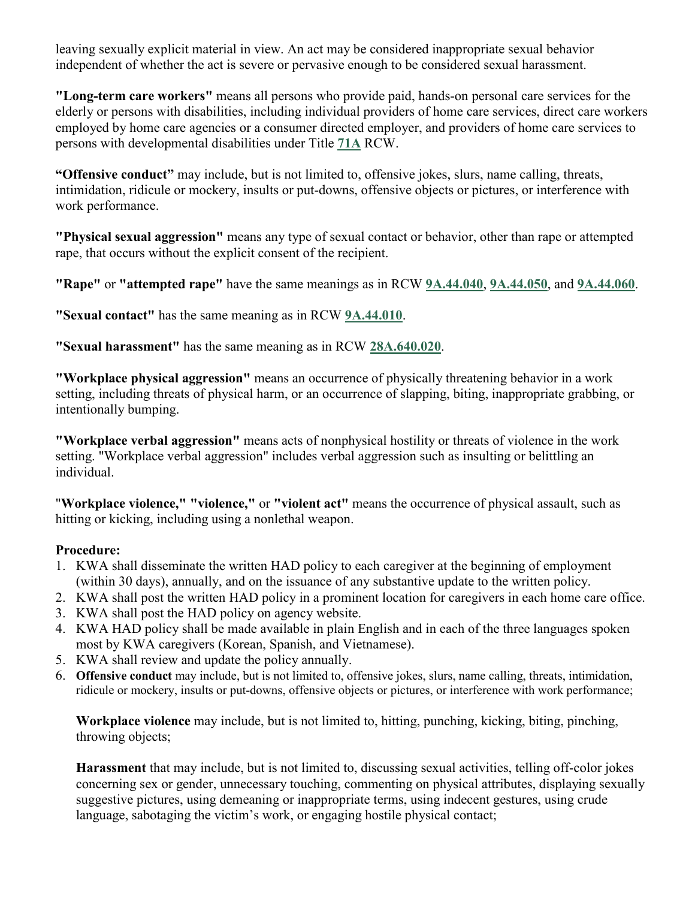leaving sexually explicit material in view. An act may be considered inappropriate sexual behavior independent of whether the act is severe or pervasive enough to be considered sexual harassment.

**"Long-term care workers"** means all persons who provide paid, hands-on personal care services for the elderly or persons with disabilities, including individual providers of home care services, direct care workers employed by home care agencies or a consumer directed employer, and providers of home care services to persons with developmental disabilities under Title **[71A](http://app.leg.wa.gov/RCW/default.aspx?cite=71A)** RCW.

**"Offensive conduct"** may include, but is not limited to, offensive jokes, slurs, name calling, threats, intimidation, ridicule or mockery, insults or put-downs, offensive objects or pictures, or interference with work performance.

**"Physical sexual aggression"** means any type of sexual contact or behavior, other than rape or attempted rape, that occurs without the explicit consent of the recipient.

**"Rape"** or **"attempted rape"** have the same meanings as in RCW **[9A.44.040](http://app.leg.wa.gov/RCW/default.aspx?cite=9A.44.040)**, **[9A.44.050](http://app.leg.wa.gov/RCW/default.aspx?cite=9A.44.050)**, and **[9A.44.060](http://app.leg.wa.gov/RCW/default.aspx?cite=9A.44.060)**.

**"Sexual contact"** has the same meaning as in RCW **[9A.44.010](http://app.leg.wa.gov/RCW/default.aspx?cite=9A.44.010)**.

**"Sexual harassment"** has the same meaning as in RCW **[28A.640.020](http://app.leg.wa.gov/RCW/default.aspx?cite=28A.640.020)**.

**"Workplace physical aggression"** means an occurrence of physically threatening behavior in a work setting, including threats of physical harm, or an occurrence of slapping, biting, inappropriate grabbing, or intentionally bumping.

**"Workplace verbal aggression"** means acts of nonphysical hostility or threats of violence in the work setting. "Workplace verbal aggression" includes verbal aggression such as insulting or belittling an individual.

"**Workplace violence," "violence,"** or **"violent act"** means the occurrence of physical assault, such as hitting or kicking, including using a nonlethal weapon.

## **Procedure:**

- 1. KWA shall disseminate the written HAD policy to each caregiver at the beginning of employment (within 30 days), annually, and on the issuance of any substantive update to the written policy.
- 2. KWA shall post the written HAD policy in a prominent location for caregivers in each home care office.
- 3. KWA shall post the HAD policy on agency website.
- 4. KWA HAD policy shall be made available in plain English and in each of the three languages spoken most by KWA caregivers (Korean, Spanish, and Vietnamese).
- 5. KWA shall review and update the policy annually.
- 6. **Offensive conduct** may include, but is not limited to, offensive jokes, slurs, name calling, threats, intimidation, ridicule or mockery, insults or put-downs, offensive objects or pictures, or interference with work performance;

**Workplace violence** may include, but is not limited to, hitting, punching, kicking, biting, pinching, throwing objects;

**Harassment** that may include, but is not limited to, discussing sexual activities, telling off-color jokes concerning sex or gender, unnecessary touching, commenting on physical attributes, displaying sexually suggestive pictures, using demeaning or inappropriate terms, using indecent gestures, using crude language, sabotaging the victim's work, or engaging hostile physical contact;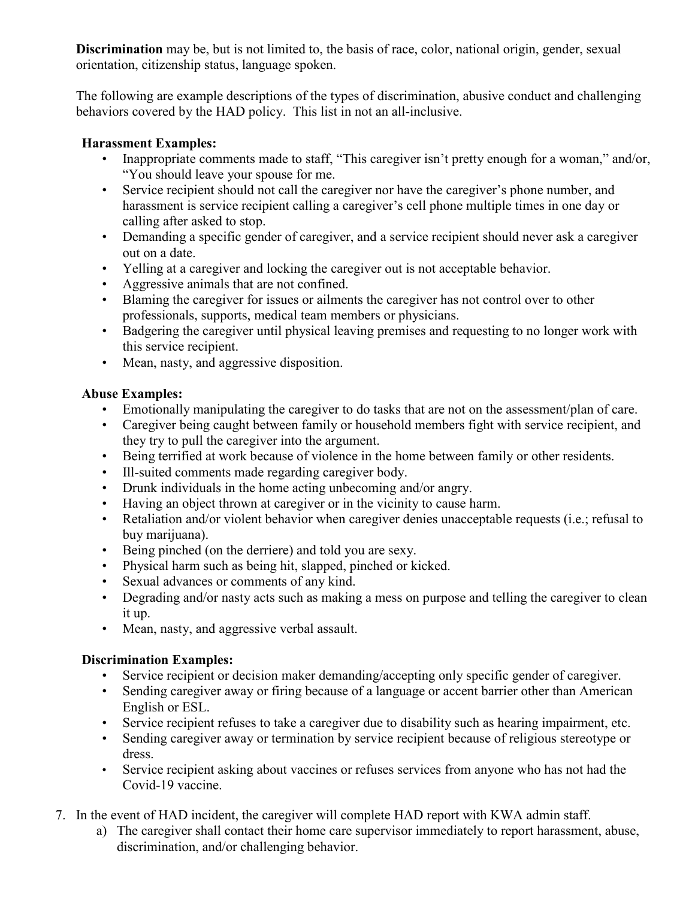**Discrimination** may be, but is not limited to, the basis of race, color, national origin, gender, sexual orientation, citizenship status, language spoken.

The following are example descriptions of the types of discrimination, abusive conduct and challenging behaviors covered by the HAD policy. This list in not an all-inclusive.

# **Harassment Examples:**

- Inappropriate comments made to staff, "This caregiver isn't pretty enough for a woman," and/or, "You should leave your spouse for me.
- Service recipient should not call the caregiver nor have the caregiver's phone number, and harassment is service recipient calling a caregiver's cell phone multiple times in one day or calling after asked to stop.
- Demanding a specific gender of caregiver, and a service recipient should never ask a caregiver out on a date.
- Yelling at a caregiver and locking the caregiver out is not acceptable behavior.
- Aggressive animals that are not confined.
- Blaming the caregiver for issues or ailments the caregiver has not control over to other professionals, supports, medical team members or physicians.
- Badgering the caregiver until physical leaving premises and requesting to no longer work with this service recipient.
- Mean, nasty, and aggressive disposition.

# **Abuse Examples:**

- Emotionally manipulating the caregiver to do tasks that are not on the assessment/plan of care.
- Caregiver being caught between family or household members fight with service recipient, and they try to pull the caregiver into the argument.
- Being terrified at work because of violence in the home between family or other residents.
- Ill-suited comments made regarding caregiver body.
- Drunk individuals in the home acting unbecoming and/or angry.
- Having an object thrown at caregiver or in the vicinity to cause harm.
- Retaliation and/or violent behavior when caregiver denies unacceptable requests (i.e.; refusal to buy marijuana).
- Being pinched (on the derriere) and told you are sexy.
- Physical harm such as being hit, slapped, pinched or kicked.
- Sexual advances or comments of any kind.
- Degrading and/or nasty acts such as making a mess on purpose and telling the caregiver to clean it up.
- Mean, nasty, and aggressive verbal assault.

## **Discrimination Examples:**

- Service recipient or decision maker demanding/accepting only specific gender of caregiver.
- Sending caregiver away or firing because of a language or accent barrier other than American English or ESL.
- Service recipient refuses to take a caregiver due to disability such as hearing impairment, etc.
- Sending caregiver away or termination by service recipient because of religious stereotype or dress.
- Service recipient asking about vaccines or refuses services from anyone who has not had the Covid-19 vaccine.
- 7. In the event of HAD incident, the caregiver will complete HAD report with KWA admin staff.
	- a) The caregiver shall contact their home care supervisor immediately to report harassment, abuse, discrimination, and/or challenging behavior.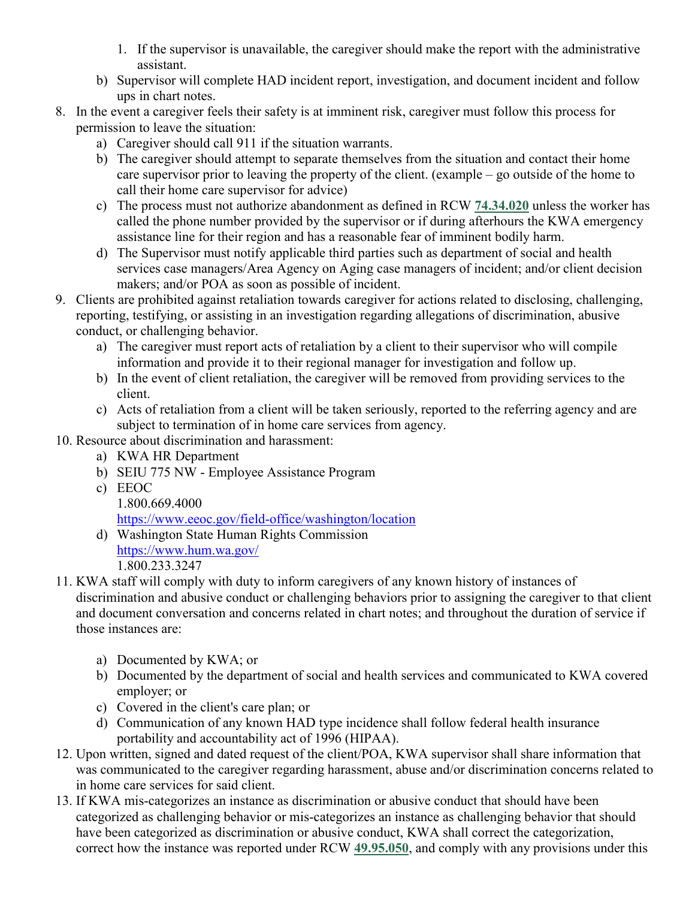- 1. If the supervisor is unavailable, the caregiver should make the report with the administrative assistant.
- b) Supervisor will complete HAD incident report, investigation, and document incident and follow ups in chart notes.
- 8. In the event a caregiver feels their safety is at imminent risk, caregiver must follow this process for permission to leave the situation:
	- a) Caregiver should call 911 if the situation warrants.
	- b) The caregiver should attempt to separate themselves from the situation and contact their home care supervisor prior to leaving the property of the client. (example – go outside of the home to call their home care supervisor for advice)
	- c) The process must not authorize abandonment as defined in RCW **[74.34.020](http://app.leg.wa.gov/RCW/default.aspx?cite=74.34.020)** unless the worker has called the phone number provided by the supervisor or if during afterhours the KWA emergency assistance line for their region and has a reasonable fear of imminent bodily harm.
	- d) The Supervisor must notify applicable third parties such as department of social and health services case managers/Area Agency on Aging case managers of incident; and/or client decision makers; and/or POA as soon as possible of incident.
- 9. Clients are prohibited against retaliation towards caregiver for actions related to disclosing, challenging, reporting, testifying, or assisting in an investigation regarding allegations of discrimination, abusive conduct, or challenging behavior.
	- a) The caregiver must report acts of retaliation by a client to their supervisor who will compile information and provide it to their regional manager for investigation and follow up.
	- b) In the event of client retaliation, the caregiver will be removed from providing services to the client.
	- c) Acts of retaliation from a client will be taken seriously, reported to the referring agency and are subject to termination of in home care services from agency.
- 10. Resource about discrimination and harassment:
	- a) KWA HR Department
	- b) SEIU 775 NW Employee Assistance Program
	- c) EEOC
	- 1.800.669.4000 <https://www.eeoc.gov/field-office/washington/location>
	- d) Washington State Human Rights Commission <https://www.hum.wa.gov/> 1.800.233.3247
- 11. KWA staff will comply with duty to inform caregivers of any known history of instances of discrimination and abusive conduct or challenging behaviors prior to assigning the caregiver to that client and document conversation and concerns related in chart notes; and throughout the duration of service if those instances are:
	- a) Documented by KWA; or
	- b) Documented by the department of social and health services and communicated to KWA covered employer; or
	- c) Covered in the client's care plan; or
	- d) Communication of any known HAD type incidence shall follow federal health insurance portability and accountability act of 1996 (HIPAA).
- 12. Upon written, signed and dated request of the client/POA, KWA supervisor shall share information that was communicated to the caregiver regarding harassment, abuse and/or discrimination concerns related to in home care services for said client.
- 13. If KWA mis-categorizes an instance as discrimination or abusive conduct that should have been categorized as challenging behavior or mis-categorizes an instance as challenging behavior that should have been categorized as discrimination or abusive conduct, KWA shall correct the categorization, correct how the instance was reported under RCW **[49.95.050](http://app.leg.wa.gov/RCW/default.aspx?cite=49.95.050)**, and comply with any provisions under this